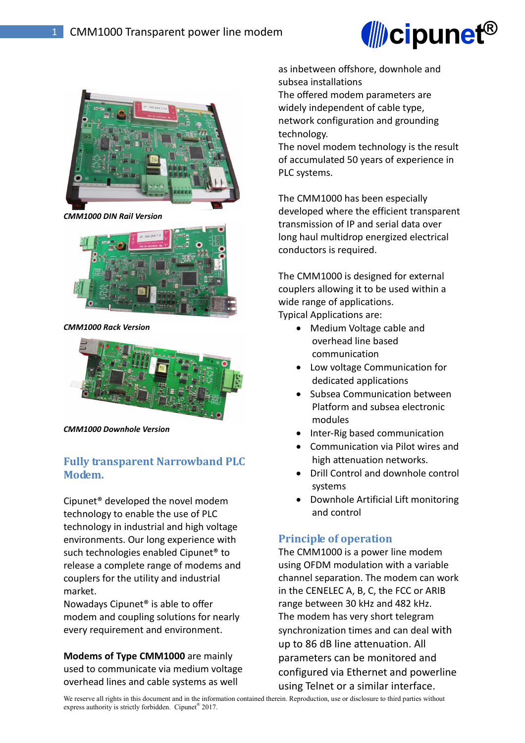



*CMM1000 DIN Rail Version* 



*CMM1000 Rack Version* 



*CMM1000 Downhole Version* 

# **Fully transparent Narrowband PLC Modem.**

Cipunet® developed the novel modem technology to enable the use of PLC technology in industrial and high voltage environments. Our long experience with such technologies enabled Cipunet® to release a complete range of modems and couplers for the utility and industrial market.

Nowadays Cipunet® is able to offer modem and coupling solutions for nearly every requirement and environment.

**Modems of Type CMM1000** are mainly used to communicate via medium voltage overhead lines and cable systems as well

as inbetween offshore, downhole and subsea installations

The offered modem parameters are widely independent of cable type, network configuration and grounding technology.

The novel modem technology is the result of accumulated 50 years of experience in PLC systems.

The CMM1000 has been especially developed where the efficient transparent transmission of IP and serial data over long haul multidrop energized electrical conductors is required.

The CMM1000 is designed for external couplers allowing it to be used within a wide range of applications.

Typical Applications are:

- Medium Voltage cable and overhead line based communication
- Low voltage Communication for dedicated applications
- Subsea Communication between Platform and subsea electronic modules
- Inter-Rig based communication
- Communication via Pilot wires and high attenuation networks.
- Drill Control and downhole control systems
- Downhole Artificial Lift monitoring and control

### **Principle of operation**

The CMM1000 is a power line modem using OFDM modulation with a variable channel separation. The modem can work in the CENELEC A, B, C, the FCC or ARIB range between 30 kHz and 482 kHz. The modem has very short telegram synchronization times and can deal with up to 86 dB line attenuation. All parameters can be monitored and configured via Ethernet and powerline using Telnet or a similar interface.

We reserve all rights in this document and in the information contained therein. Reproduction, use or disclosure to third parties without express authority is strictly forbidden. Cipunet<sup>®</sup> 2017.